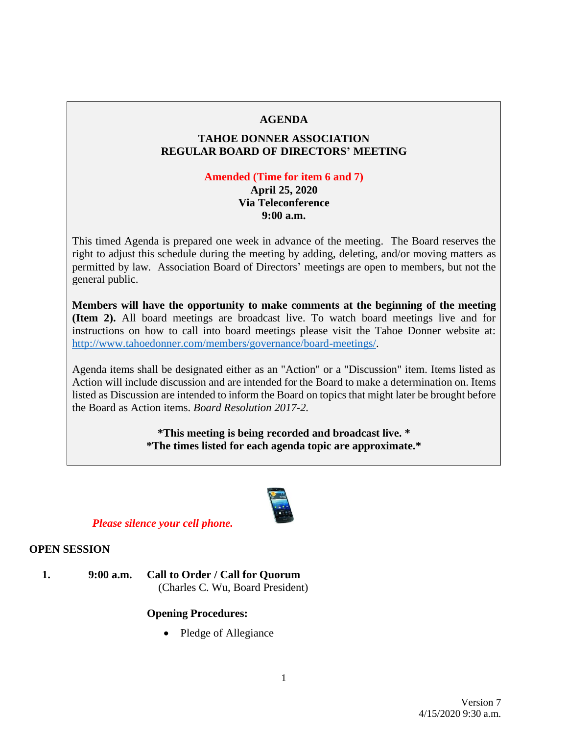## **AGENDA**

## **TAHOE DONNER ASSOCIATION REGULAR BOARD OF DIRECTORS' MEETING**

## **Amended (Time for item 6 and 7)**

## **April 25, 2020 Via Teleconference 9:00 a.m.**

This timed Agenda is prepared one week in advance of the meeting. The Board reserves the right to adjust this schedule during the meeting by adding, deleting, and/or moving matters as permitted by law. Association Board of Directors' meetings are open to members, but not the general public.

**Members will have the opportunity to make comments at the beginning of the meeting (Item 2).** All board meetings are broadcast live. To watch board meetings live and for instructions on how to call into board meetings please visit the Tahoe Donner website at: [http://www.tahoedonner.com/members/governance/board-meetings/.](http://www.tahoedonner.com/members/governance/board-meetings/)

Agenda items shall be designated either as an "Action" or a "Discussion" item. Items listed as Action will include discussion and are intended for the Board to make a determination on. Items listed as Discussion are intended to inform the Board on topics that might later be brought before the Board as Action items. *Board Resolution 2017-2.*

> **\*This meeting is being recorded and broadcast live. \* \*The times listed for each agenda topic are approximate.\***



*Please silence your cell phone.*

## **OPEN SESSION**

**1. 9:00 a.m. Call to Order / Call for Quorum** (Charles C. Wu, Board President)

## **Opening Procedures:**

• Pledge of Allegiance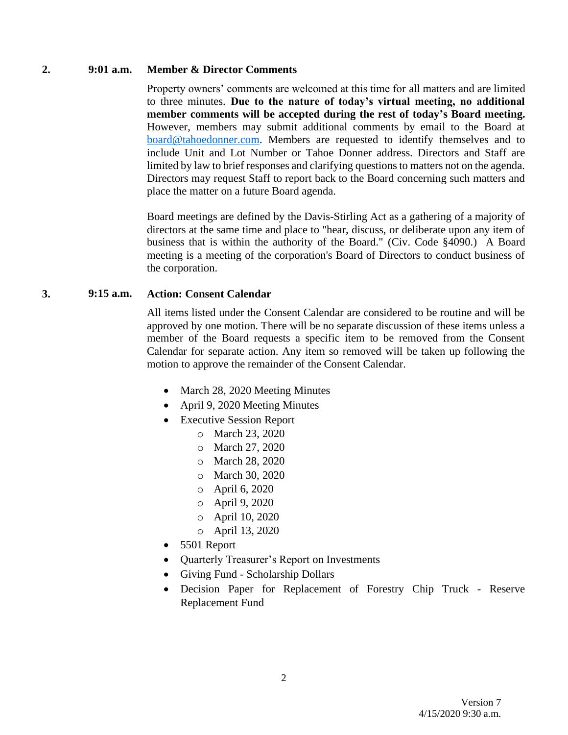#### **2. 9:01 a.m. Member & Director Comments**

Property owners' comments are welcomed at this time for all matters and are limited to three minutes. **Due to the nature of today's virtual meeting, no additional member comments will be accepted during the rest of today's Board meeting.** However, members may submit additional comments by email to the Board at [board@tahoedonner.com.](mailto:board@tahoedonner.com) Members are requested to identify themselves and to include Unit and Lot Number or Tahoe Donner address. Directors and Staff are limited by law to brief responses and clarifying questions to matters not on the agenda. Directors may request Staff to report back to the Board concerning such matters and place the matter on a future Board agenda.

Board meetings are defined by the Davis-Stirling Act as a gathering of a majority of directors at the same time and place to "hear, discuss, or deliberate upon any item of business that is within the authority of the Board." (Civ. Code §4090.) A Board meeting is a meeting of the corporation's Board of Directors to conduct business of the corporation.

#### **3. 9:15 a.m. Action: Consent Calendar**

All items listed under the Consent Calendar are considered to be routine and will be approved by one motion. There will be no separate discussion of these items unless a member of the Board requests a specific item to be removed from the Consent Calendar for separate action. Any item so removed will be taken up following the motion to approve the remainder of the Consent Calendar.

- March 28, 2020 Meeting Minutes
- April 9, 2020 Meeting Minutes
- Executive Session Report
	- o March 23, 2020
	- o March 27, 2020
	- o March 28, 2020
	- o March 30, 2020
	- o April 6, 2020
	- o April 9, 2020
	- o April 10, 2020
	- o April 13, 2020
- 5501 Report
- Quarterly Treasurer's Report on Investments
- Giving Fund Scholarship Dollars
- Decision Paper for Replacement of Forestry Chip Truck Reserve Replacement Fund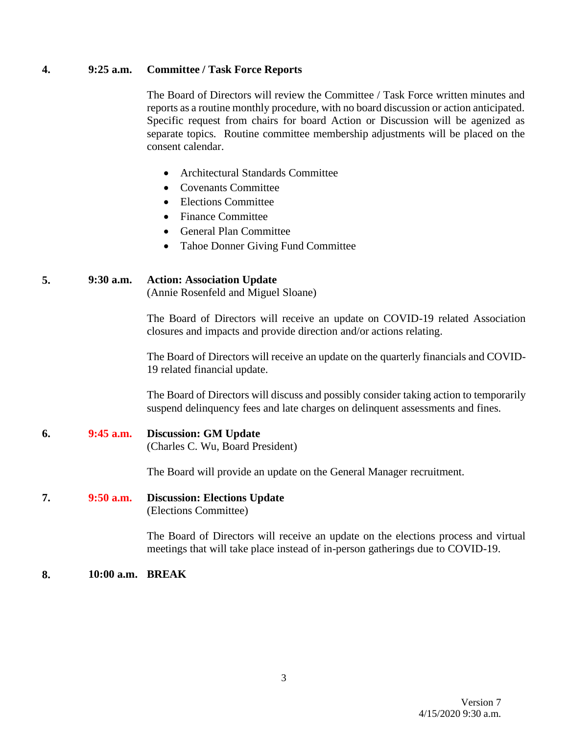#### **4. 9:25 a.m. Committee / Task Force Reports**

The Board of Directors will review the Committee / Task Force written minutes and reports as a routine monthly procedure, with no board discussion or action anticipated. Specific request from chairs for board Action or Discussion will be agenized as separate topics. Routine committee membership adjustments will be placed on the consent calendar.

- Architectural Standards Committee
- Covenants Committee
- Elections Committee
- Finance Committee
- General Plan Committee
- Tahoe Donner Giving Fund Committee

#### **5. 9:30 a.m. Action: Association Update**

(Annie Rosenfeld and Miguel Sloane)

The Board of Directors will receive an update on COVID-19 related Association closures and impacts and provide direction and/or actions relating.

The Board of Directors will receive an update on the quarterly financials and COVID-19 related financial update.

The Board of Directors will discuss and possibly consider taking action to temporarily suspend delinquency fees and late charges on delinquent assessments and fines.

# **6. 9:45 a.m. Discussion: GM Update**

(Charles C. Wu, Board President)

The Board will provide an update on the General Manager recruitment.

#### **7. 9:50 a.m. Discussion: Elections Update** (Elections Committee)

The Board of Directors will receive an update on the elections process and virtual meetings that will take place instead of in-person gatherings due to COVID-19.

#### **8. 10:00 a.m. BREAK**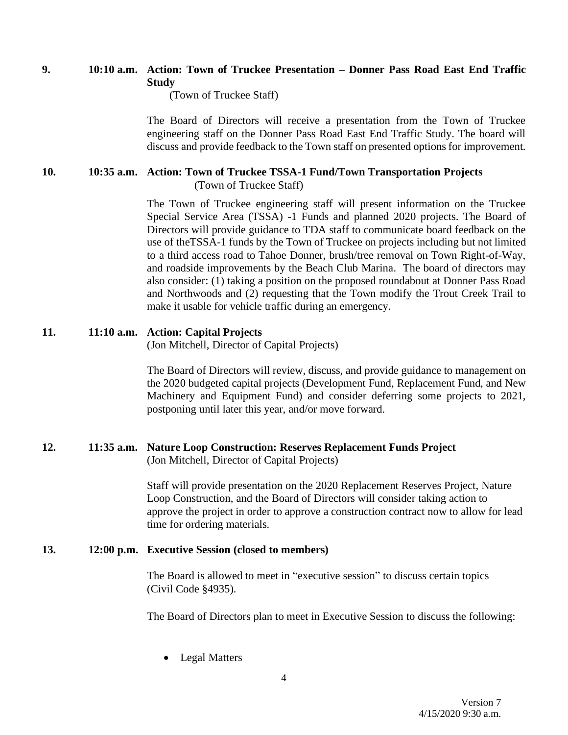## **9. 10:10 a.m. Action: Town of Truckee Presentation – Donner Pass Road East End Traffic Study**

(Town of Truckee Staff)

The Board of Directors will receive a presentation from the Town of Truckee engineering staff on the Donner Pass Road East End Traffic Study. The board will discuss and provide feedback to the Town staff on presented options for improvement.

#### **10. 10:35 a.m. Action: Town of Truckee TSSA-1 Fund/Town Transportation Projects** (Town of Truckee Staff)

The Town of Truckee engineering staff will present information on the Truckee Special Service Area (TSSA) -1 Funds and planned 2020 projects. The Board of Directors will provide guidance to TDA staff to communicate board feedback on the use of theTSSA-1 funds by the Town of Truckee on projects including but not limited to a third access road to Tahoe Donner, brush/tree removal on Town Right-of-Way, and roadside improvements by the Beach Club Marina. The board of directors may also consider: (1) taking a position on the proposed roundabout at Donner Pass Road and Northwoods and (2) requesting that the Town modify the Trout Creek Trail to make it usable for vehicle traffic during an emergency.

## **11. 11:10 a.m. Action: Capital Projects**

(Jon Mitchell, Director of Capital Projects)

The Board of Directors will review, discuss, and provide guidance to management on the 2020 budgeted capital projects (Development Fund, Replacement Fund, and New Machinery and Equipment Fund) and consider deferring some projects to 2021, postponing until later this year, and/or move forward.

#### **12. 11:35 a.m. Nature Loop Construction: Reserves Replacement Funds Project** (Jon Mitchell, Director of Capital Projects)

Staff will provide presentation on the 2020 Replacement Reserves Project, Nature Loop Construction, and the Board of Directors will consider taking action to approve the project in order to approve a construction contract now to allow for lead time for ordering materials.

#### **13. 12:00 p.m. Executive Session (closed to members)**

The Board is allowed to meet in "executive session" to discuss certain topics (Civil Code §4935).

The Board of Directors plan to meet in Executive Session to discuss the following:

**Legal Matters**